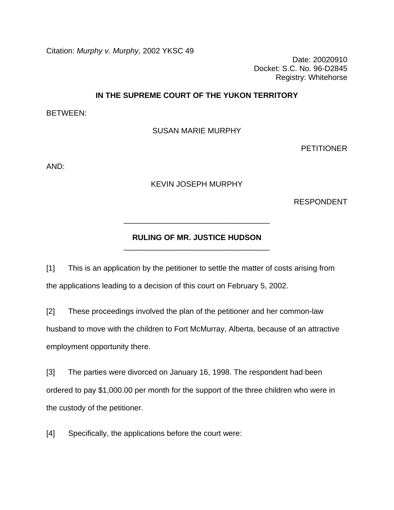Citation: *Murphy v. Murphy,* 2002 YKSC 49

Date: 20020910 Docket: S.C. No. 96-D2845 Registry: Whitehorse

## **IN THE SUPREME COURT OF THE YUKON TERRITORY**

BETWEEN:

SUSAN MARIE MURPHY

PETITIONER

AND:

KEVIN JOSEPH MURPHY

RESPONDENT

## **RULING OF MR. JUSTICE HUDSON** \_\_\_\_\_\_\_\_\_\_\_\_\_\_\_\_\_\_\_\_\_\_\_\_\_\_\_\_\_\_\_\_\_\_

\_\_\_\_\_\_\_\_\_\_\_\_\_\_\_\_\_\_\_\_\_\_\_\_\_\_\_\_\_\_\_\_\_\_

[1] This is an application by the petitioner to settle the matter of costs arising from the applications leading to a decision of this court on February 5, 2002.

[2] These proceedings involved the plan of the petitioner and her common-law husband to move with the children to Fort McMurray, Alberta, because of an attractive employment opportunity there.

[3] The parties were divorced on January 16, 1998. The respondent had been ordered to pay \$1,000.00 per month for the support of the three children who were in the custody of the petitioner.

[4] Specifically, the applications before the court were: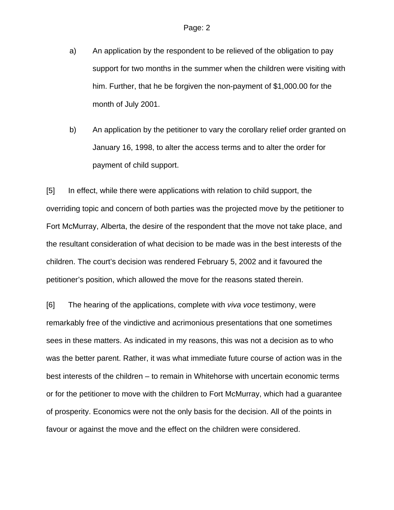- a) An application by the respondent to be relieved of the obligation to pay support for two months in the summer when the children were visiting with him. Further, that he be forgiven the non-payment of \$1,000.00 for the month of July 2001.
- b) An application by the petitioner to vary the corollary relief order granted on January 16, 1998, to alter the access terms and to alter the order for payment of child support.

[5] In effect, while there were applications with relation to child support, the overriding topic and concern of both parties was the projected move by the petitioner to Fort McMurray, Alberta, the desire of the respondent that the move not take place, and the resultant consideration of what decision to be made was in the best interests of the children. The court's decision was rendered February 5, 2002 and it favoured the petitioner's position, which allowed the move for the reasons stated therein.

[6] The hearing of the applications, complete with *viva voce* testimony, were remarkably free of the vindictive and acrimonious presentations that one sometimes sees in these matters. As indicated in my reasons, this was not a decision as to who was the better parent. Rather, it was what immediate future course of action was in the best interests of the children – to remain in Whitehorse with uncertain economic terms or for the petitioner to move with the children to Fort McMurray, which had a guarantee of prosperity. Economics were not the only basis for the decision. All of the points in favour or against the move and the effect on the children were considered.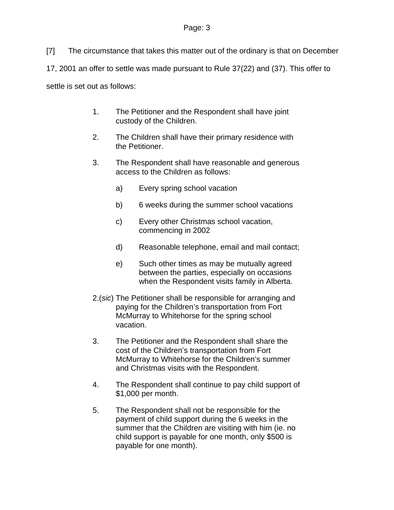[7] The circumstance that takes this matter out of the ordinary is that on December 17, 2001 an offer to settle was made pursuant to Rule 37(22) and (37). This offer to settle is set out as follows:

- 1. The Petitioner and the Respondent shall have joint custody of the Children.
- 2. The Children shall have their primary residence with the Petitioner.
- 3. The Respondent shall have reasonable and generous access to the Children as follows:
	- a) Every spring school vacation
	- b) 6 weeks during the summer school vacations
	- c) Every other Christmas school vacation, commencing in 2002
	- d) Reasonable telephone, email and mail contact;
	- e) Such other times as may be mutually agreed between the parties, especially on occasions when the Respondent visits family in Alberta.
- 2.(*sic*) The Petitioner shall be responsible for arranging and paying for the Children's transportation from Fort McMurray to Whitehorse for the spring school vacation.
- 3. The Petitioner and the Respondent shall share the cost of the Children's transportation from Fort McMurray to Whitehorse for the Children's summer and Christmas visits with the Respondent.
- 4. The Respondent shall continue to pay child support of \$1,000 per month.
- 5. The Respondent shall not be responsible for the payment of child support during the 6 weeks in the summer that the Children are visiting with him (ie. no child support is payable for one month, only \$500 is payable for one month).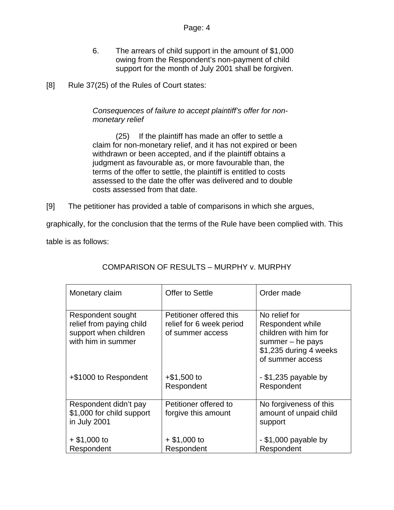- 6. The arrears of child support in the amount of \$1,000 owing from the Respondent's non-payment of child support for the month of July 2001 shall be forgiven.
- [8] Rule 37(25) of the Rules of Court states:

## *Consequences of failure to accept plaintiff's offer for nonmonetary relief*

 (25) If the plaintiff has made an offer to settle a claim for non-monetary relief, and it has not expired or been withdrawn or been accepted, and if the plaintiff obtains a judgment as favourable as, or more favourable than, the terms of the offer to settle, the plaintiff is entitled to costs assessed to the date the offer was delivered and to double costs assessed from that date.

[9] The petitioner has provided a table of comparisons in which she argues,

graphically, for the conclusion that the terms of the Rule have been complied with. This

table is as follows:

| Monetary claim                                                                               | Offer to Settle                                                         | Order made                                                                                                                     |
|----------------------------------------------------------------------------------------------|-------------------------------------------------------------------------|--------------------------------------------------------------------------------------------------------------------------------|
| Respondent sought<br>relief from paying child<br>support when children<br>with him in summer | Petitioner offered this<br>relief for 6 week period<br>of summer access | No relief for<br>Respondent while<br>children with him for<br>summer $-$ he pays<br>\$1,235 during 4 weeks<br>of summer access |
| +\$1000 to Respondent                                                                        | $+$ \$1,500 to<br>Respondent                                            | - \$1,235 payable by<br>Respondent                                                                                             |
| Respondent didn't pay<br>\$1,000 for child support<br>in July 2001                           | Petitioner offered to<br>forgive this amount                            | No forgiveness of this<br>amount of unpaid child<br>support                                                                    |
| $+$ \$1,000 to<br>Respondent                                                                 | $+$ \$1,000 to<br>Respondent                                            | - \$1,000 payable by<br>Respondent                                                                                             |

# COMPARISON OF RESULTS – MURPHY v. MURPHY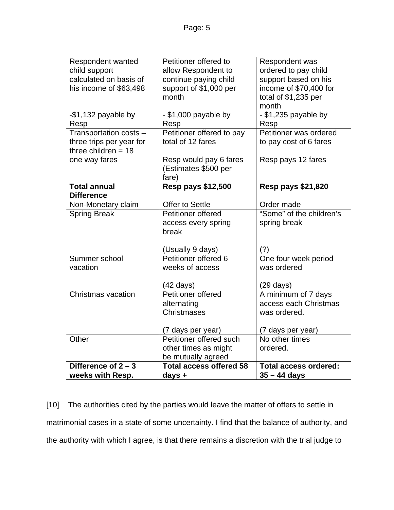| Respondent wanted         | Petitioner offered to          | Respondent was               |
|---------------------------|--------------------------------|------------------------------|
| child support             | allow Respondent to            | ordered to pay child         |
| calculated on basis of    | continue paying child          | support based on his         |
| his income of \$63,498    | support of \$1,000 per         | income of \$70,400 for       |
|                           | month                          | total of \$1,235 per         |
|                           |                                | month                        |
| -\$1,132 payable by       | - \$1,000 payable by           | - \$1,235 payable by         |
| Resp                      | Resp                           | Resp                         |
| Transportation costs -    | Petitioner offered to pay      | Petitioner was ordered       |
| three trips per year for  | total of 12 fares              | to pay cost of 6 fares       |
| three children $= 18$     |                                |                              |
| one way fares             | Resp would pay 6 fares         | Resp pays 12 fares           |
|                           | (Estimates \$500 per           |                              |
|                           | fare)                          |                              |
| <b>Total annual</b>       | <b>Resp pays \$12,500</b>      | <b>Resp pays \$21,820</b>    |
| <b>Difference</b>         |                                |                              |
| Non-Monetary claim        | Offer to Settle                | Order made                   |
| <b>Spring Break</b>       | Petitioner offered             | "Some" of the children's     |
|                           | access every spring            | spring break                 |
|                           | break                          |                              |
|                           |                                |                              |
|                           | (Usually 9 days)               | (?)                          |
| Summer school             | Petitioner offered 6           | One four week period         |
| vacation                  | weeks of access                | was ordered                  |
|                           |                                |                              |
|                           | $(42 \text{ days})$            | $(29 \text{ days})$          |
| <b>Christmas vacation</b> | Petitioner offered             | A minimum of 7 days          |
|                           | alternating                    | access each Christmas        |
|                           | <b>Christmases</b>             | was ordered.                 |
|                           |                                |                              |
|                           | (7 days per year)              | (7 days per year)            |
| Other                     | Petitioner offered such        | No other times               |
|                           | other times as might           | ordered.                     |
|                           | be mutually agreed             |                              |
| Difference of $2 - 3$     | <b>Total access offered 58</b> | <b>Total access ordered:</b> |
| weeks with Resp.          | days $+$                       | $35 - 44$ days               |

[10] The authorities cited by the parties would leave the matter of offers to settle in matrimonial cases in a state of some uncertainty. I find that the balance of authority, and the authority with which I agree, is that there remains a discretion with the trial judge to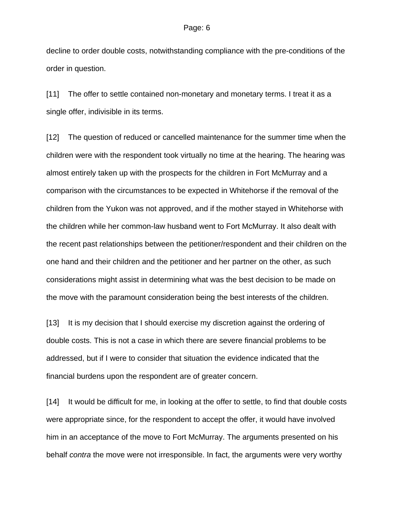decline to order double costs, notwithstanding compliance with the pre-conditions of the order in question.

[11] The offer to settle contained non-monetary and monetary terms. I treat it as a single offer, indivisible in its terms.

[12] The question of reduced or cancelled maintenance for the summer time when the children were with the respondent took virtually no time at the hearing. The hearing was almost entirely taken up with the prospects for the children in Fort McMurray and a comparison with the circumstances to be expected in Whitehorse if the removal of the children from the Yukon was not approved, and if the mother stayed in Whitehorse with the children while her common-law husband went to Fort McMurray. It also dealt with the recent past relationships between the petitioner/respondent and their children on the one hand and their children and the petitioner and her partner on the other, as such considerations might assist in determining what was the best decision to be made on the move with the paramount consideration being the best interests of the children.

[13] It is my decision that I should exercise my discretion against the ordering of double costs. This is not a case in which there are severe financial problems to be addressed, but if I were to consider that situation the evidence indicated that the financial burdens upon the respondent are of greater concern.

[14] It would be difficult for me, in looking at the offer to settle, to find that double costs were appropriate since, for the respondent to accept the offer, it would have involved him in an acceptance of the move to Fort McMurray. The arguments presented on his behalf *contra* the move were not irresponsible. In fact, the arguments were very worthy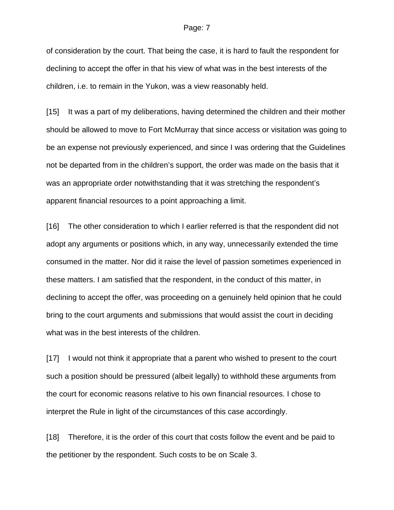#### Page: 7

of consideration by the court. That being the case, it is hard to fault the respondent for declining to accept the offer in that his view of what was in the best interests of the children, i.e. to remain in the Yukon, was a view reasonably held.

[15] It was a part of my deliberations, having determined the children and their mother should be allowed to move to Fort McMurray that since access or visitation was going to be an expense not previously experienced, and since I was ordering that the Guidelines not be departed from in the children's support, the order was made on the basis that it was an appropriate order notwithstanding that it was stretching the respondent's apparent financial resources to a point approaching a limit.

[16] The other consideration to which I earlier referred is that the respondent did not adopt any arguments or positions which, in any way, unnecessarily extended the time consumed in the matter. Nor did it raise the level of passion sometimes experienced in these matters. I am satisfied that the respondent, in the conduct of this matter, in declining to accept the offer, was proceeding on a genuinely held opinion that he could bring to the court arguments and submissions that would assist the court in deciding what was in the best interests of the children.

[17] I would not think it appropriate that a parent who wished to present to the court such a position should be pressured (albeit legally) to withhold these arguments from the court for economic reasons relative to his own financial resources. I chose to interpret the Rule in light of the circumstances of this case accordingly.

[18] Therefore, it is the order of this court that costs follow the event and be paid to the petitioner by the respondent. Such costs to be on Scale 3.